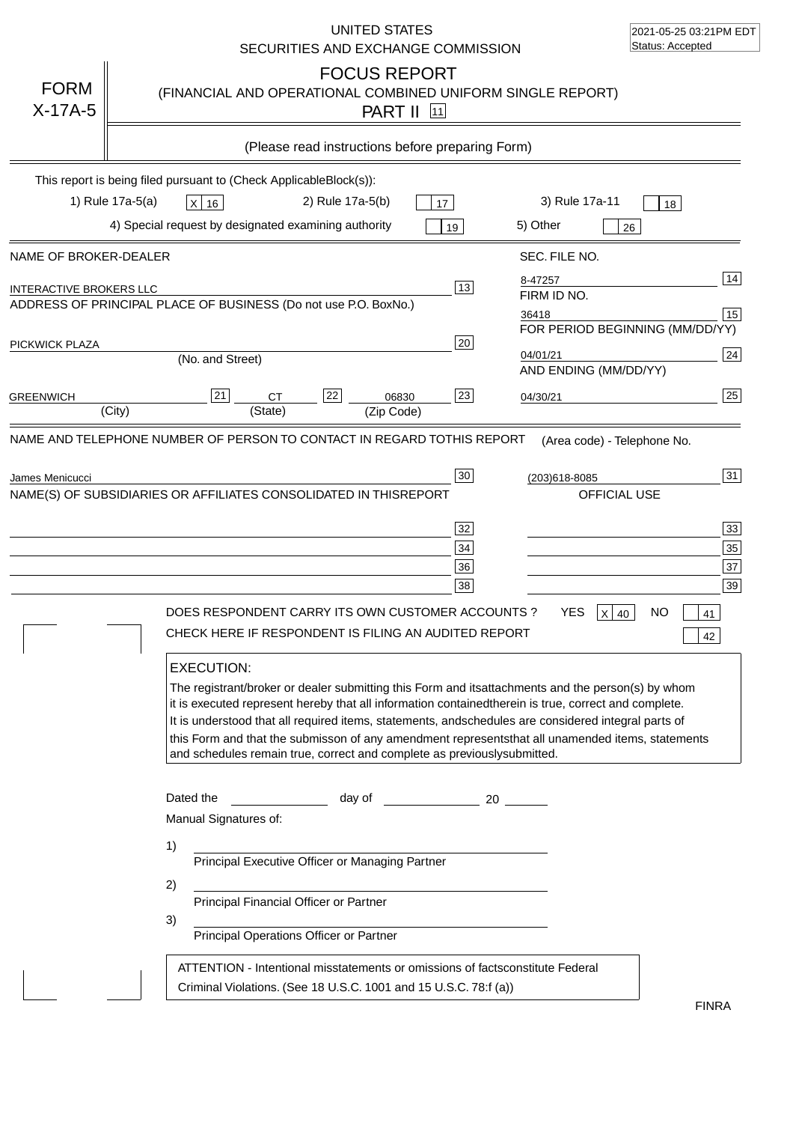|                                                         | UNITED STATES<br>SECURITIES AND EXCHANGE COMMISSION                                                                                                                                                                                                                                                                                                                                                                                                                                                                                                                                                                                                                                                                          | 2021-05-25 03:21PM EDT<br>Status: Accepted                                                                |
|---------------------------------------------------------|------------------------------------------------------------------------------------------------------------------------------------------------------------------------------------------------------------------------------------------------------------------------------------------------------------------------------------------------------------------------------------------------------------------------------------------------------------------------------------------------------------------------------------------------------------------------------------------------------------------------------------------------------------------------------------------------------------------------------|-----------------------------------------------------------------------------------------------------------|
| <b>FORM</b><br>$X-17A-5$                                | <b>FOCUS REPORT</b><br>(FINANCIAL AND OPERATIONAL COMBINED UNIFORM SINGLE REPORT)<br><b>PART II</b> 11                                                                                                                                                                                                                                                                                                                                                                                                                                                                                                                                                                                                                       |                                                                                                           |
|                                                         | (Please read instructions before preparing Form)                                                                                                                                                                                                                                                                                                                                                                                                                                                                                                                                                                                                                                                                             |                                                                                                           |
|                                                         | This report is being filed pursuant to (Check Applicable<br>$Block(s)$ :<br>1) Rule 17a-5(a)<br>2) Rule 17a-5(b)<br>3) Rule 17a-11<br>X 16<br>17                                                                                                                                                                                                                                                                                                                                                                                                                                                                                                                                                                             | 18                                                                                                        |
|                                                         | 4) Special request by designated examining authority<br>5) Other<br>19                                                                                                                                                                                                                                                                                                                                                                                                                                                                                                                                                                                                                                                       | 26                                                                                                        |
| NAME OF BROKER-DEALER<br><b>INTERACTIVE BROKERS LLC</b> | SEC. FILE NO.<br>8-47257<br>13<br>FIRM ID NO.<br>ADDRESS OF PRINCIPAL PLACE OF BUSINESS (Do not use P.O. Box<br>No.)                                                                                                                                                                                                                                                                                                                                                                                                                                                                                                                                                                                                         | 14                                                                                                        |
| PICKWICK PLAZA                                          | 36418<br>20<br>04/01/21<br>(No. and Street)                                                                                                                                                                                                                                                                                                                                                                                                                                                                                                                                                                                                                                                                                  | 15<br>FOR PERIOD BEGINNING (MM/DD/YY)<br>24                                                               |
| <b>GREENWICH</b>                                        | AND ENDING (MM/DD/YY)<br>22<br>23<br>21<br><b>CT</b><br>06830<br>04/30/21<br>(State)<br>(City)<br>(Zip Code)                                                                                                                                                                                                                                                                                                                                                                                                                                                                                                                                                                                                                 | 25                                                                                                        |
|                                                         | NAME(S) OF SUBSIDIARIES OR AFFILIATES CONSOLIDATED IN THIS<br><b>REPORT</b><br>32<br>34<br>36<br>38<br>DOES RESPONDENT CARRY ITS OWN CUSTOMER ACCOUNTS ?<br>YES.<br>CHECK HERE IF RESPONDENT IS FILING AN AUDITED REPORT<br><b>EXECUTION:</b><br>The registrant/broker or dealer submitting this Form and its<br>attachments and the person(s) by whom<br>it is executed represent hereby that all information contained<br>therein is true, correct and complete.<br>It is understood that all required items, statements, and<br>schedules are considered integral parts of<br>this Form and that the submisson of any amendment represents<br>and schedules remain true, correct and complete as previously<br>submitted. | OFFICIAL USE<br>33<br>35<br>37<br>39<br>x<br>NΟ<br>40<br>41<br>42<br>that all unamended items, statements |
|                                                         | Dated the<br>day of<br>20<br>Manual Signatures of:<br>1)<br>Principal Executive Officer or Managing Partner<br>2)<br>Principal Financial Officer or Partner<br>3)<br>Principal Operations Officer or Partner<br>ATTENTION - Intentional misstatements or omissions of facts<br>constitute Federal<br>Criminal Violations. (See 18 U.S.C. 1001 and 15 U.S.C. 78:f (a)                                                                                                                                                                                                                                                                                                                                                         |                                                                                                           |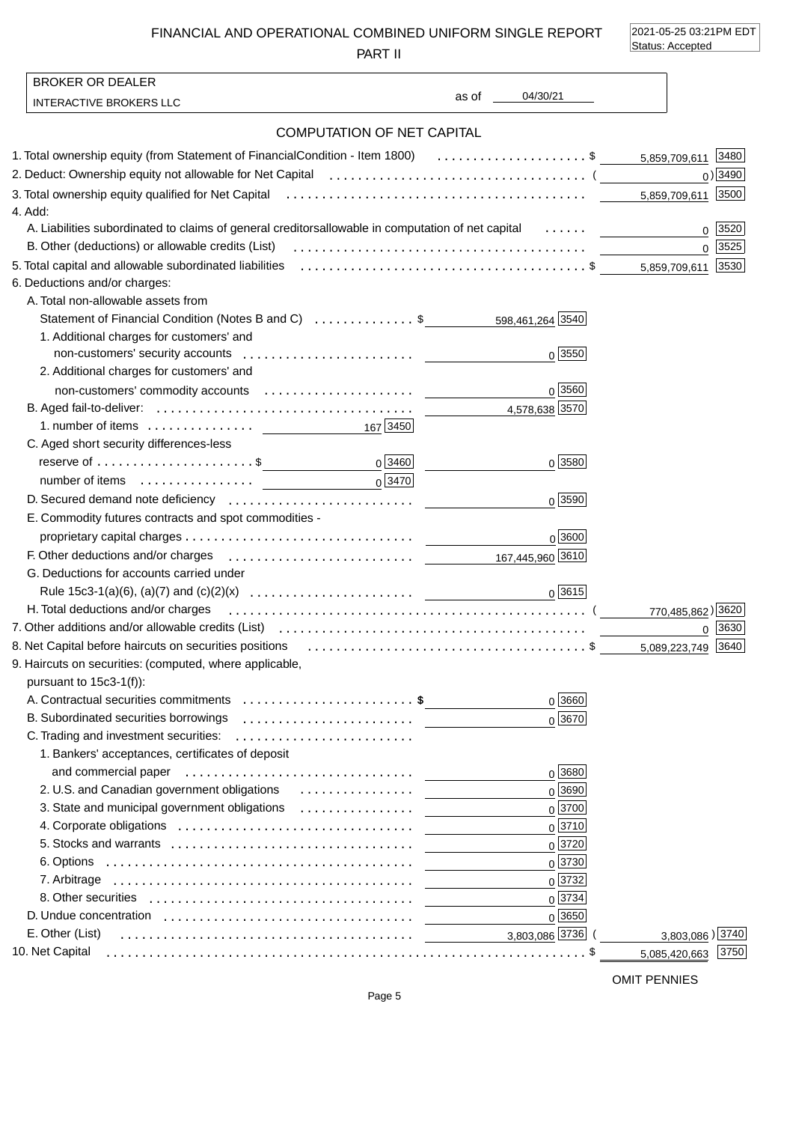FINANCIAL AND OPERATIONAL COMBINED UNIFORM SINGLE REPORT

PART II

2021-05-25 03:21PM EDT Status: Accepted

| <b>BROKER OR DEALER</b>                                                                                                                                                                                                        |                    |                        |
|--------------------------------------------------------------------------------------------------------------------------------------------------------------------------------------------------------------------------------|--------------------|------------------------|
| <b>INTERACTIVE BROKERS LLC</b>                                                                                                                                                                                                 | 04/30/21<br>as of  |                        |
| <b>COMPUTATION OF NET CAPITAL</b>                                                                                                                                                                                              |                    |                        |
| 1. Total ownership equity (from Statement of Financial Condition - Item 1800) \$ 5,859,709,611 3480                                                                                                                            |                    |                        |
| 2. Deduct: Ownership equity not allowable for Net Capital (all containal contained contained and contained all                                                                                                                 |                    | 0)3490                 |
|                                                                                                                                                                                                                                |                    | 5,859,709,611 3500     |
| 4. Add:                                                                                                                                                                                                                        |                    |                        |
| A. Liabilities subordinated to claims of general creditors allowable in computation of net capital                                                                                                                             |                    | 0 3520                 |
|                                                                                                                                                                                                                                |                    | 0 3525                 |
| 5. Total capital and allowable subordinated liabilities (allocational content is a set of subsetion subsetion                                                                                                                  |                    | 5,859,709,611 3530     |
| 6. Deductions and/or charges:                                                                                                                                                                                                  |                    |                        |
| A. Total non-allowable assets from                                                                                                                                                                                             |                    |                        |
| Statement of Financial Condition (Notes B and C) \$ 598,461,264 3540                                                                                                                                                           |                    |                        |
| 1. Additional charges for customers' and                                                                                                                                                                                       |                    |                        |
|                                                                                                                                                                                                                                | $0\sqrt{3550}$     |                        |
| 2. Additional charges for customers' and                                                                                                                                                                                       |                    |                        |
|                                                                                                                                                                                                                                | $0\sqrt{3560}$     |                        |
|                                                                                                                                                                                                                                | 4,578,638 3570     |                        |
| 167 3450                                                                                                                                                                                                                       |                    |                        |
| C. Aged short security differences-less                                                                                                                                                                                        |                    |                        |
| $0\sqrt{3460}$                                                                                                                                                                                                                 | 0 3580             |                        |
| $0\sqrt{3470}$                                                                                                                                                                                                                 |                    |                        |
|                                                                                                                                                                                                                                | $0\sqrt{3590}$     |                        |
| E. Commodity futures contracts and spot commodities -                                                                                                                                                                          |                    |                        |
|                                                                                                                                                                                                                                | 0 3600             |                        |
| F. Other deductions and/or charges expansion contracts are the contracted of the details of the details of the details of the details of the details of the details of the details of the details of the details of the detail |                    |                        |
| G. Deductions for accounts carried under                                                                                                                                                                                       |                    |                        |
|                                                                                                                                                                                                                                | $0\overline{3615}$ |                        |
| H. Total deductions and/or charges entertainment contains and container and container and container the contain                                                                                                                |                    | 770,485,862) 3620      |
| 7. Other additions and/or allowable credits (List) (all interactional content in the reduced or all interaction                                                                                                                |                    | $0 \mid 3630$          |
| 8. Net Capital before haircuts on securities positions (all contained contained a second section of \$                                                                                                                         |                    | 5,089,223,749 3640     |
| 9. Haircuts on securities: (computed, where applicable,                                                                                                                                                                        |                    |                        |
| pursuant to $15c3-1(f)$ :                                                                                                                                                                                                      |                    |                        |
| A. Contractual securities commitments \$                                                                                                                                                                                       | $0\sqrt{3660}$     |                        |
| B. Subordinated securities borrowings                                                                                                                                                                                          | 0 3670             |                        |
| C. Trading and investment securities:                                                                                                                                                                                          |                    |                        |
| 1. Bankers' acceptances, certificates of deposit                                                                                                                                                                               |                    |                        |
| and commercial paper (all continuous commercial paper and commercial paper and commercial paper and commercial                                                                                                                 | 0 3680             |                        |
|                                                                                                                                                                                                                                | 0 3690             |                        |
| 3. State and municipal government obligations                                                                                                                                                                                  | $0\sqrt{3700}$     |                        |
|                                                                                                                                                                                                                                | 0 3710             |                        |
|                                                                                                                                                                                                                                | 0 3720             |                        |
|                                                                                                                                                                                                                                | $0\sqrt{3730}$     |                        |
|                                                                                                                                                                                                                                | $0\sqrt{3732}$     |                        |
|                                                                                                                                                                                                                                | 0 3734             |                        |
|                                                                                                                                                                                                                                | $0\sqrt{3650}$     |                        |
| E. Other (List)                                                                                                                                                                                                                | 3,803,086 3736     | 3,803,086) 3740        |
| 10. Net Capital                                                                                                                                                                                                                |                    | 5,085,420,663<br> 3750 |

OMIT PENNIES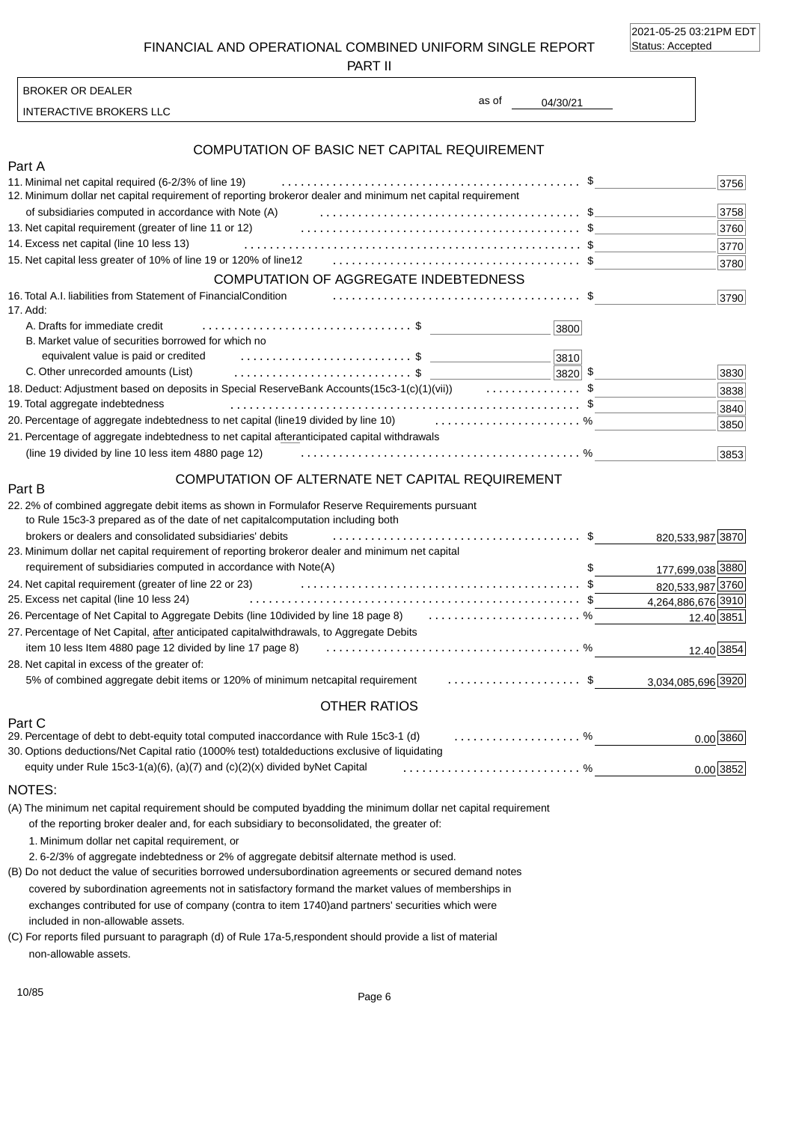2021-05-25 03:21PM EDT Status: Accepted

FINANCIAL AND OPERATIONAL COMBINED UNIFORM SINGLE REPORT

PART II

INTERACTIVE BROKERS LLC

BROKER OR DEALER

## COMPUTATION OF BASIC NET CAPITAL REQUIREMENT

| ιαιι                                                                                                                                                                                                                                          |      |
|-----------------------------------------------------------------------------------------------------------------------------------------------------------------------------------------------------------------------------------------------|------|
| 11. Minimal net capital required (6-2/3% of line 19)                                                                                                                                                                                          | 3756 |
| or dealer and minimum net capital requirement<br>12. Minimum dollar net capital requirement of reporting broker                                                                                                                               |      |
| of subsidiaries computed in accordance with Note (A)                                                                                                                                                                                          | 3758 |
| 13. Net capital requirement (greater of line 11 or 12)                                                                                                                                                                                        | 3760 |
| 14. Excess net capital (line 10 less 13)                                                                                                                                                                                                      | 3770 |
|                                                                                                                                                                                                                                               | 3780 |
| COMPUTATION OF AGGREGATE INDEBTEDNESS                                                                                                                                                                                                         |      |
| 16. Total A.I. liabilities from Statement of Financial Condition<br>17. Add:                                                                                                                                                                  | 3790 |
| 3800                                                                                                                                                                                                                                          |      |
| B. Market value of securities borrowed for which no                                                                                                                                                                                           |      |
| equivalent value is paid or credited<br>3810                                                                                                                                                                                                  |      |
| C. Other unrecorded amounts (List) expansion contract that the set of the set of the set of the set of the set of the set of the set of the set of the set of the set of the set of the set of the set of the set of the set o<br>$ 3820 $ \$ | 3830 |
| 18. Deduct: Adjustment based on deposits in Special Reserve Bank Accounts(15c3-1(c)(1)(vii))  \$                                                                                                                                              | 3838 |
| 19. Total aggregate indebtedness                                                                                                                                                                                                              | 3840 |
| 19 divided by line 10) $\ldots, \ldots, \ldots, \ldots, \ldots, \%$<br>20. Percentage of aggregate indebtedness to net capital (line                                                                                                          | 3850 |
| 21. Percentage of aggregate indebtedness to net capital after<br>anticipated capital withdrawals                                                                                                                                              |      |
| (line 19 divided by line 10 less item 4880 page 12)                                                                                                                                                                                           | 3853 |
|                                                                                                                                                                                                                                               |      |

# COMPUTATION OF ALTERNATE NET CAPITAL REQUIREMENT

| 22.2% of combined aggregate debit items as shown in Formula<br>for Reserve Requirements pursuant<br>computation including both<br>to Rule 15c3-3 prepared as of the date of net capital |                    |
|-----------------------------------------------------------------------------------------------------------------------------------------------------------------------------------------|--------------------|
| brokers or dealers and consolidated subsidiaries' debits                                                                                                                                | 820,533,987 3870   |
| or dealer and minimum net capital<br>23. Minimum dollar net capital requirement of reporting broker                                                                                     |                    |
| requirement of subsidiaries computed in accordance with Note(A)                                                                                                                         | 177,699,038 3880   |
| 24. Net capital requirement (greater of line 22 or 23)                                                                                                                                  | 820,533,987 3760   |
| 25. Excess net capital (line 10 less 24)                                                                                                                                                | 4,264,886,676 3910 |
| divided by line 18 page 8) $\ldots$ %<br>26. Percentage of Net Capital to Aggregate Debits (line 10                                                                                     | 12.40 3851         |
| withdrawals, to Aggregate Debits<br>27. Percentage of Net Capital, after anticipated capital                                                                                            |                    |
| item 10 less Item 4880 page 12 divided by line 17 page 8)                                                                                                                               | 12.40 3854         |
| 28. Net capital in excess of the greater of:                                                                                                                                            |                    |
| capital requirement \$<br>5% of combined aggregate debit items or 120% of minimum net                                                                                                   | 3,034,085,696 3920 |
| <b>OTHER RATIOS</b>                                                                                                                                                                     |                    |
| Part C                                                                                                                                                                                  |                    |
| 29. Percentage of debt to debt-equity total computed in<br>accordance with Rule 15c3-1 (d)                                                                                              | 0.00 3860          |

| 29. Percentage of debt to debt-equity total computed in accordance with Rule 15c3-1 (d) %                                      | $0.00$ 3860 |
|--------------------------------------------------------------------------------------------------------------------------------|-------------|
| 30. Options deductions/Net Capital ratio (1000% test) total deductions exclusive of liquidating                                |             |
| equity under Rule 15c3-1(a)(6), (a)(7) and (c)(2)(x) divided by Net Capital $\ldots \ldots \ldots \ldots \ldots \ldots \ldots$ | $0.00$ 3852 |

#### NOTES:

Part B

Part A

(A) The minimum net capital requirement should be computed by adding the minimum dollar net capital requirement

of the reporting broker dealer and, for each subsidiary to be consolidated, the greater of:

1. Minimum dollar net capital requirement, or

2. 6-2/3% of aggregate indebtedness or 2% of aggregate debits if alternate method is used.

included in non-allowable assets. (B) Do not deduct the value of securities borrowed under subordination agreements or secured demand notes covered by subordination agreements not in satisfactory form and the market values of memberships in exchanges contributed for use of company (contra to item 1740) and partners' securities which were

non-allowable assets. (C) For reports filed pursuant to paragraph (d) of Rule 17a-5, respondent should provide a list of material

04/30/21 as of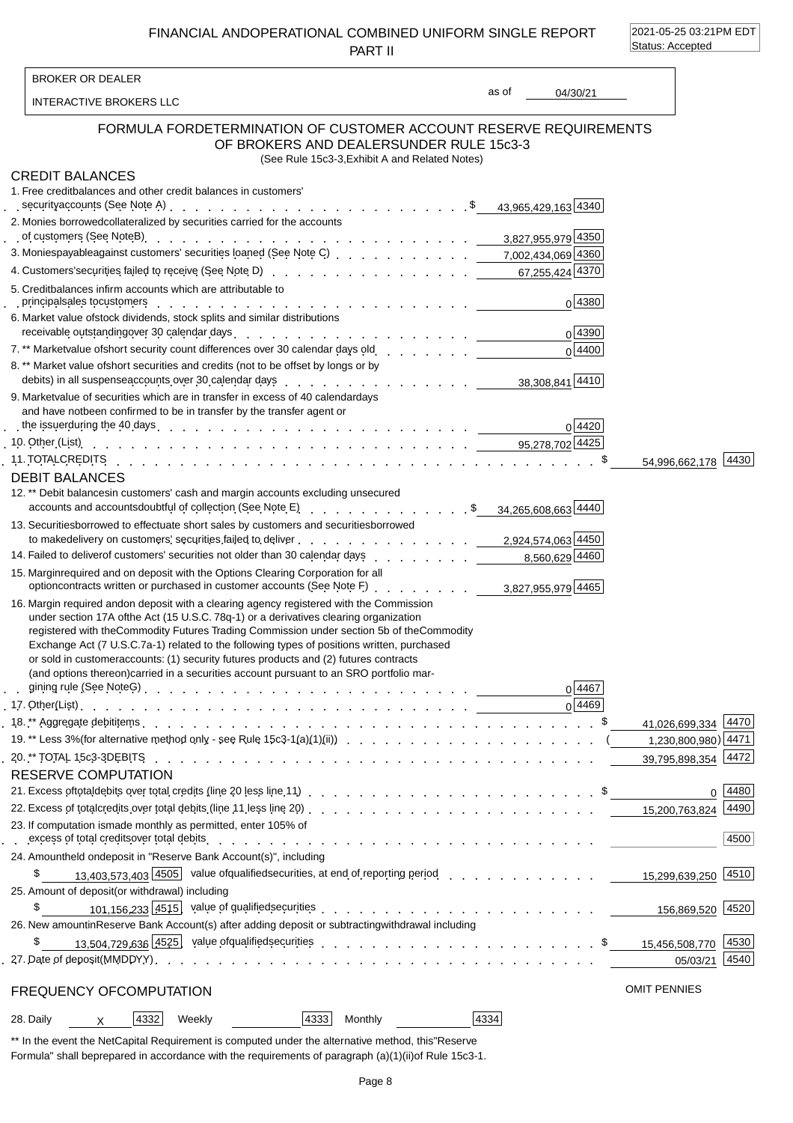FINANCIAL AND OPERATIONAL COMBINED UNIFORM SINGLE REPORT PART II

2021-05-25 03:21PM EDT Status: Accepted

| <b>BROKER OR DEALER</b>                                                                                                                                                                                                                                                                                                                                                                                                                                                                                                                                            |                                                                                                                                                                                                                                                                          |      |                          |                     |
|--------------------------------------------------------------------------------------------------------------------------------------------------------------------------------------------------------------------------------------------------------------------------------------------------------------------------------------------------------------------------------------------------------------------------------------------------------------------------------------------------------------------------------------------------------------------|--------------------------------------------------------------------------------------------------------------------------------------------------------------------------------------------------------------------------------------------------------------------------|------|--------------------------|---------------------|
| INTERACTIVE BROKERS LLC                                                                                                                                                                                                                                                                                                                                                                                                                                                                                                                                            |                                                                                                                                                                                                                                                                          |      | as of<br>04/30/21        |                     |
| FORMULA FOR                                                                                                                                                                                                                                                                                                                                                                                                                                                                                                                                                        | DETERMINATION OF CUSTOMER ACCOUNT RESERVE REQUIREMENTS<br>OF BROKERS AND DEALERS UNDER RULE 15c3-3<br>(See Rule 15c3-3, Exhibit A and Related Notes)                                                                                                                     |      |                          |                     |
| <b>CREDIT BALANCES</b>                                                                                                                                                                                                                                                                                                                                                                                                                                                                                                                                             |                                                                                                                                                                                                                                                                          |      |                          |                     |
| 1. Free credit balances and other credit balances in customers'                                                                                                                                                                                                                                                                                                                                                                                                                                                                                                    |                                                                                                                                                                                                                                                                          |      |                          |                     |
| security accounts (See Note A) $(340 - 1)$<br>2. Monies borrowed collateralized by securities carried for the accounts                                                                                                                                                                                                                                                                                                                                                                                                                                             |                                                                                                                                                                                                                                                                          |      |                          |                     |
|                                                                                                                                                                                                                                                                                                                                                                                                                                                                                                                                                                    |                                                                                                                                                                                                                                                                          |      |                          |                     |
|                                                                                                                                                                                                                                                                                                                                                                                                                                                                                                                                                                    |                                                                                                                                                                                                                                                                          |      |                          |                     |
| 4. Customers' securities failed to receive (See Note D) enter the content of the content of 7,255,424 4370                                                                                                                                                                                                                                                                                                                                                                                                                                                         |                                                                                                                                                                                                                                                                          |      |                          |                     |
| 5. Credit balances in firm accounts which are attributable to                                                                                                                                                                                                                                                                                                                                                                                                                                                                                                      |                                                                                                                                                                                                                                                                          |      | 0 4380                   |                     |
| 6. Market value of stock dividends, stock splits and similar distributions<br>receivable outstanding over 30 calendar days enter the contract of the contract of the contract of the contract of the contract of the contract of the contract of the contract of the contract of the contract of the contrac                                                                                                                                                                                                                                                       |                                                                                                                                                                                                                                                                          |      | 0 4390                   |                     |
| 7.** Market value of short security count differences over 30 calendar days old [14]                                                                                                                                                                                                                                                                                                                                                                                                                                                                               |                                                                                                                                                                                                                                                                          |      | $0\sqrt{4400}$           |                     |
| 8. ** Market value of short securities and credits (not to be offset by longs or by                                                                                                                                                                                                                                                                                                                                                                                                                                                                                |                                                                                                                                                                                                                                                                          |      |                          |                     |
| debits) in all suspense accounts over 30 calendar days<br>and Calvan Alvan Alvan Alvan Alvan Alvan 38,308,841 4410                                                                                                                                                                                                                                                                                                                                                                                                                                                 |                                                                                                                                                                                                                                                                          |      |                          |                     |
| 9. Market value of securities which are in transfer in excess of 40 calendar days                                                                                                                                                                                                                                                                                                                                                                                                                                                                                  |                                                                                                                                                                                                                                                                          |      |                          |                     |
| and have not been confirmed to be in transfer by the transfer agent or<br>the issuer during the 40 days enter the set of the set of the set of the set of the set of the set of the set of the set of the set of the set of the set of the set of the set of the set of the set of the set of the set o                                                                                                                                                                                                                                                            |                                                                                                                                                                                                                                                                          |      | 0 4420                   |                     |
|                                                                                                                                                                                                                                                                                                                                                                                                                                                                                                                                                                    |                                                                                                                                                                                                                                                                          |      |                          |                     |
|                                                                                                                                                                                                                                                                                                                                                                                                                                                                                                                                                                    |                                                                                                                                                                                                                                                                          |      |                          | 54,996,662,178 4430 |
| <b>DEBIT BALANCES</b>                                                                                                                                                                                                                                                                                                                                                                                                                                                                                                                                              |                                                                                                                                                                                                                                                                          |      |                          |                     |
| 12.** Debit balances in customers' cash and margin accounts excluding unsecured                                                                                                                                                                                                                                                                                                                                                                                                                                                                                    |                                                                                                                                                                                                                                                                          |      |                          |                     |
| accounts and accounts doubtful of collection (See Note E) etc. Accounts and accounts and accounts doubtful of collection (See Note E) etc. Accounts 34,265,608,663                                                                                                                                                                                                                                                                                                                                                                                                 |                                                                                                                                                                                                                                                                          |      |                          |                     |
| 13. Securities borrowed to effectuate short sales by customers and securities borrowed                                                                                                                                                                                                                                                                                                                                                                                                                                                                             |                                                                                                                                                                                                                                                                          |      |                          |                     |
| to make delivery on customers' securities failed to deliver enterprised by the case of the case of the case of the case of the case of the case of the case of the case of the case of the case of the case of the case of the                                                                                                                                                                                                                                                                                                                                     |                                                                                                                                                                                                                                                                          |      |                          |                     |
| 14. Failed to deliver of customers' securities not older than 30 calendar days 8,560,629 4460                                                                                                                                                                                                                                                                                                                                                                                                                                                                      |                                                                                                                                                                                                                                                                          |      |                          |                     |
| 15. Margin required and on deposit with the Options Clearing Corporation for all<br>option contracts written or purchased in customer accounts (See Note F) 3,827,955,979 4465                                                                                                                                                                                                                                                                                                                                                                                     |                                                                                                                                                                                                                                                                          |      |                          |                     |
| 16. Margin required and on deposit with a clearing agency registered with the Commission<br>under section 17A of the Act (15 U.S.C. 78q-1) or a derivatives clearing organization<br>registered with the Commodity Futures Trading Commission under section 5b of the Commodity<br>Exchange Act (7 U.S.C. 7a-1) related to the following types of positions written, purchased<br>or sold in customer accounts: (1) security futures products and (2) futures contracts<br>(and options thereon) carried in a securities account pursuant to an SRO portfolio mar- |                                                                                                                                                                                                                                                                          |      | 0 4467<br>$0\sqrt{4469}$ |                     |
|                                                                                                                                                                                                                                                                                                                                                                                                                                                                                                                                                                    |                                                                                                                                                                                                                                                                          |      |                          | 41,026,699,334 4470 |
|                                                                                                                                                                                                                                                                                                                                                                                                                                                                                                                                                                    |                                                                                                                                                                                                                                                                          |      |                          |                     |
|                                                                                                                                                                                                                                                                                                                                                                                                                                                                                                                                                                    |                                                                                                                                                                                                                                                                          |      |                          | 39,795,898,354 4472 |
| <b>RESERVE COMPUTATION</b>                                                                                                                                                                                                                                                                                                                                                                                                                                                                                                                                         |                                                                                                                                                                                                                                                                          |      |                          |                     |
|                                                                                                                                                                                                                                                                                                                                                                                                                                                                                                                                                                    |                                                                                                                                                                                                                                                                          |      |                          | 0 4480              |
| 22. Excess of total credits over total debits (line 11 less line 20) etc. as a control of the control of the control of the 11 less line 20) control of the control of the control of the state of the control of the control                                                                                                                                                                                                                                                                                                                                      |                                                                                                                                                                                                                                                                          |      |                          |                     |
| 23. If computation is made monthly as permitted, enter 105% of<br>excess of total credits over total debits                                                                                                                                                                                                                                                                                                                                                                                                                                                        |                                                                                                                                                                                                                                                                          |      |                          | 4500                |
| 24. Amount held on deposit in "Reserve Bank Account(s)", including                                                                                                                                                                                                                                                                                                                                                                                                                                                                                                 |                                                                                                                                                                                                                                                                          |      |                          |                     |
| \$<br>25. Amount of deposit (or withdrawal) including                                                                                                                                                                                                                                                                                                                                                                                                                                                                                                              | 13.403.573.403 4505 value of qualified securities, at end of reporting period entertainment of the second value                                                                                                                                                          |      |                          | 15,299,639,250 4510 |
| \$<br>26. New amount in Reserve Bank Account(s) after adding deposit or subtracting withdrawal including                                                                                                                                                                                                                                                                                                                                                                                                                                                           | 101,156.233 $\frac{4515}{121}$ value of qualified securities example and a securities of $\frac{1}{2}$ and $\frac{1}{2}$ and $\frac{1}{2}$ and $\frac{1}{2}$ and $\frac{1}{2}$ and $\frac{1}{2}$ and $\frac{1}{2}$ and $\frac{1}{2}$ are $\frac{1}{2}$ and $\frac{1}{2}$ |      |                          | 156,869,520 4520    |
| \$                                                                                                                                                                                                                                                                                                                                                                                                                                                                                                                                                                 |                                                                                                                                                                                                                                                                          |      |                          |                     |
|                                                                                                                                                                                                                                                                                                                                                                                                                                                                                                                                                                    |                                                                                                                                                                                                                                                                          |      |                          | 05/03/21 4540       |
| FREQUENCY OF COMPUTATION                                                                                                                                                                                                                                                                                                                                                                                                                                                                                                                                           |                                                                                                                                                                                                                                                                          |      |                          | <b>OMIT PENNIES</b> |
| 4332<br>28. Daily<br>Weekly<br>$\times$                                                                                                                                                                                                                                                                                                                                                                                                                                                                                                                            | 4333 <br>Monthly                                                                                                                                                                                                                                                         | 4334 |                          |                     |
| ** In the event the Net Capital Requirement is computed under the alternative method this "Reserve"                                                                                                                                                                                                                                                                                                                                                                                                                                                                |                                                                                                                                                                                                                                                                          |      |                          |                     |

\*\* In the event the Net Capital Requirement is computed under the alternative method, this "Reserve Formula" shall be prepared in accordance with the requirements of paragraph (a)(1)(ii) of Rule 15c3-1.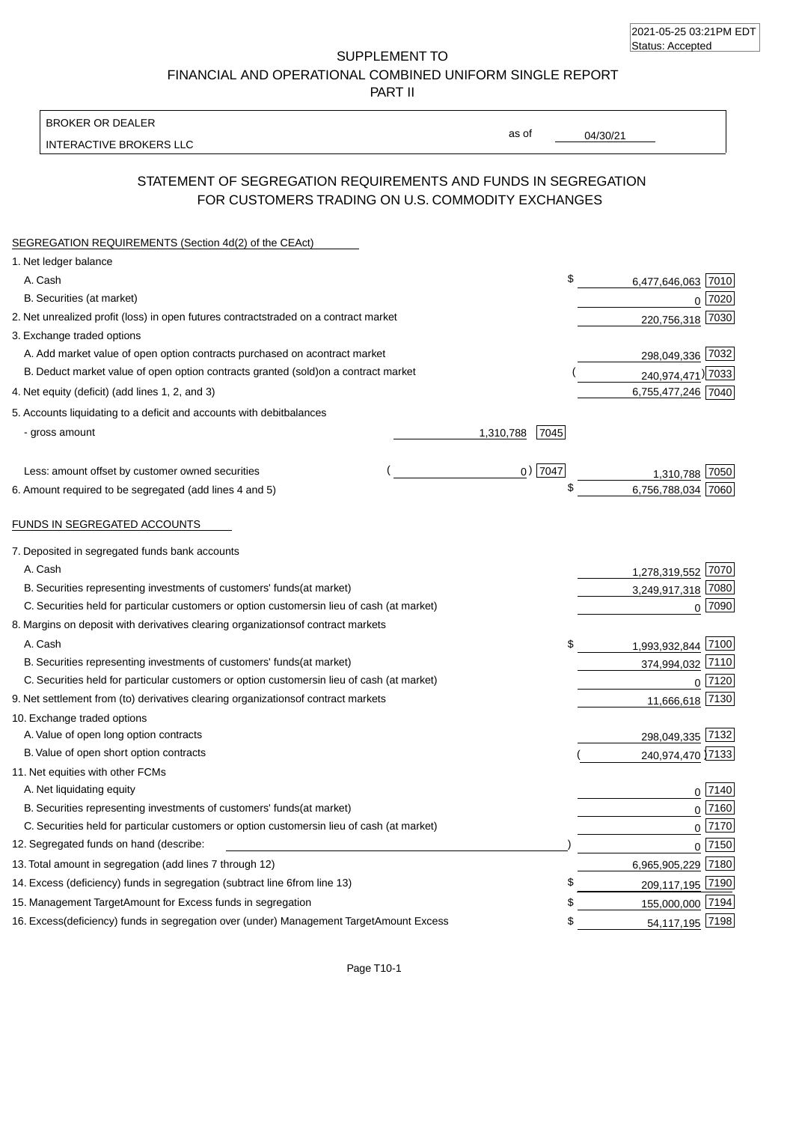| 2021-05-25 03:21PM EDT |  |
|------------------------|--|
| Status: Accepted       |  |

SUPPLEMENT TO FINANCIAL AND OPERATIONAL COMBINED UNIFORM SINGLE REPORT

PART II

### BROKER OR DEALER

INTERACTIVE BROKERS LLC

04/30/21

as of

# STATEMENT OF SEGREGATION REQUIREMENTS AND FUNDS IN SEGREGATION FOR CUSTOMERS TRADING ON U.S. COMMODITY EXCHANGES

| SEGREGATION REQUIREMENTS (Section 4d(2) of the CEAct)                                          |                             |  |
|------------------------------------------------------------------------------------------------|-----------------------------|--|
| 1. Net ledger balance                                                                          |                             |  |
| A. Cash                                                                                        | \$<br>7010<br>6,477,646,063 |  |
| B. Securities (at market)                                                                      | 7020<br>0                   |  |
| 2. Net unrealized profit (loss) in open futures contracts<br>traded on a contract market       | 220,756,318 7030            |  |
| 3. Exchange traded options                                                                     |                             |  |
| A. Add market value of open option contracts purchased on a<br>contract market                 | 7032<br>298,049,336         |  |
| B. Deduct market value of open option contracts granted (sold)<br>on a contract market         | 240,974,471) 7033           |  |
| 4. Net equity (deficit) (add lines 1, 2, and 3)                                                | 6,755,477,246 7040          |  |
| 5. Accounts liquidating to a deficit and accounts with debit<br>balances                       |                             |  |
| - gross amount                                                                                 | 1,310,788<br>7045           |  |
| Less: amount offset by customer owned securities                                               | $0)$ 7047<br>1,310,788 7050 |  |
| 6. Amount required to be segregated (add lines 4 and 5)                                        | 6,756,788,034<br>7060       |  |
|                                                                                                |                             |  |
| FUNDS IN SEGREGATED ACCOUNTS                                                                   |                             |  |
| 7. Deposited in segregated funds bank accounts                                                 |                             |  |
| A. Cash                                                                                        | 1,278,319,552 7070          |  |
| B. Securities representing investments of customers' funds<br>(at market)                      | 3,249,917,318 7080          |  |
| C. Securities held for particular customers or option customers<br>in lieu of cash (at market) | $0$ 7090                    |  |
| 8. Margins on deposit with derivatives clearing organizations<br>of contract markets           |                             |  |
| A. Cash                                                                                        | \$<br>1,993,932,844 7100    |  |
| B. Securities representing investments of customers' funds<br>(at market)                      | 374,994,032 7110            |  |
| C. Securities held for particular customers or option customers<br>in lieu of cash (at market) | 0 7120                      |  |
| 9. Net settlement from (to) derivatives clearing organizations<br>of contract markets          | 11,666,618 7130             |  |
| 10. Exchange traded options                                                                    |                             |  |
| A. Value of open long option contracts                                                         | 298,049,335 7132            |  |
| B. Value of open short option contracts                                                        | 240,974,470 7133            |  |
| 11. Net equities with other FCMs                                                               |                             |  |
| A. Net liquidating equity                                                                      | $0$   $7140$                |  |
| B. Securities representing investments of customers' funds<br>(at market)                      | $0$ 7160                    |  |
| C. Securities held for particular customers or option customers<br>in lieu of cash (at market) | $0$   7170                  |  |
| 12. Segregated funds on hand (describe:                                                        | $0$   $7150$                |  |
| 13. Total amount in segregation (add lines 7 through 12)                                       | 6,965,905,229 7180          |  |
| 14. Excess (deficiency) funds in segregation (subtract line 6<br>from line 13)                 | \$<br>209,117,195 7190      |  |
| 15. Management Target Amount for Excess funds in segregation                                   | 155,000,000 7194<br>\$      |  |
| 16. Excess (deficiency) funds in segregation over (under) Management Target Amount Excess      | 54,117,195 7198<br>\$       |  |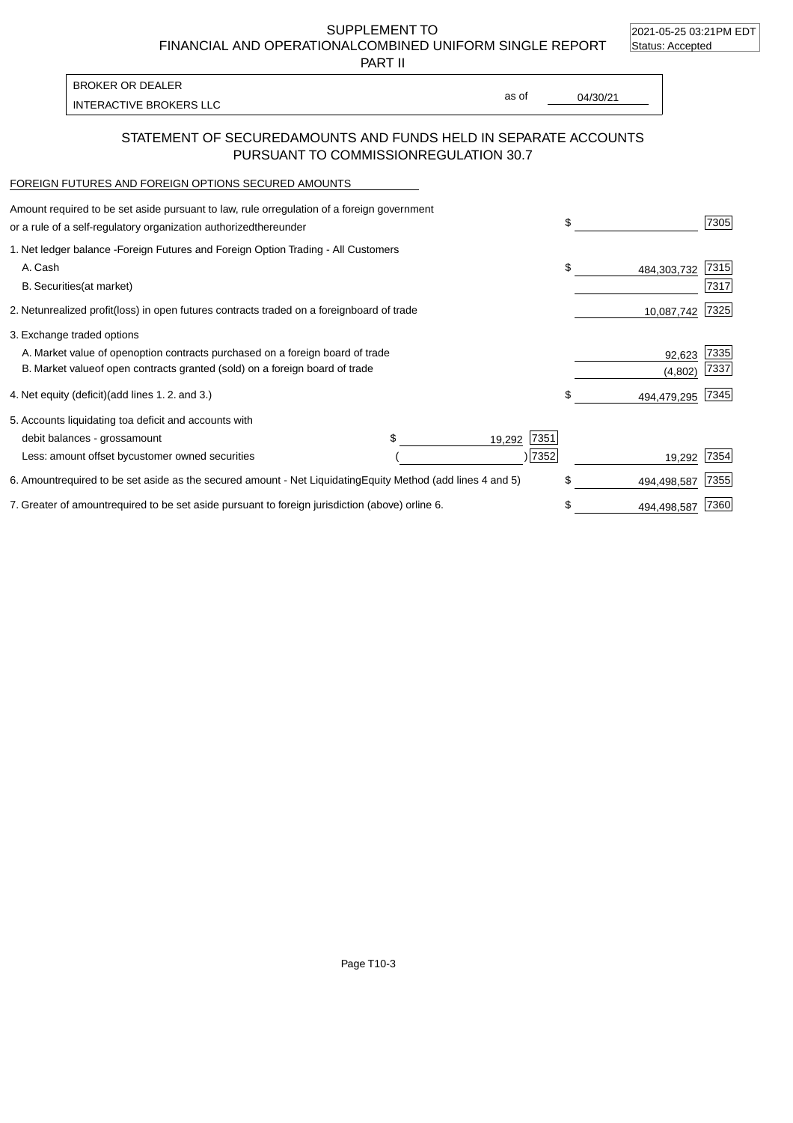2021-05-25 03:21PM EDT

SUPPLEMENT TO FINANCIAL AND OPERATIONAL COMBINED UNIFORM SINGLE REPORT Status: Accepted

PART II

INTERACTIVE BROKERS LLC and the state of the state of the state of the state of the state of the state of the state of the state of the state of the state of the state of the state of the state of the state of the state of BROKER OR DEALER

as of

### STATEMENT OF SECURED AMOUNTS AND FUNDS HELD IN SEPARATE ACCOUNTS PURSUANT TO COMMISSION REGULATION 30.7

### FOREIGN FUTURES AND FOREIGN OPTIONS SECURED AMOUNTS

| Amount required to be set aside pursuant to law, rule or<br>regulation of a foreign government<br>or a rule of a self-regulatory organization authorized<br>thereunder                       |                                   | \$                | 7305         |
|----------------------------------------------------------------------------------------------------------------------------------------------------------------------------------------------|-----------------------------------|-------------------|--------------|
| 1. Net ledger balance - Foreign Futures and Foreign Option Trading - All Customers<br>A. Cash<br><b>B.</b> Securities<br>(at market)                                                         |                                   | \$<br>484,303,732 | 7315<br>7317 |
| 2. Net unrealized profit (loss) in open futures contracts traded on a foreign                                                                                                                | board of trade                    | 10,087,742        | 7325         |
| 3. Exchange traded options<br>A. Market value of open option contracts purchased on a foreign board of trade<br>B. Market value of open contracts granted (sold) on a foreign board of trade |                                   | 92,623<br>(4,802) | 7335<br>7337 |
| 4. Net equity (deficit) (add lines 1.2. and 3.)                                                                                                                                              |                                   | \$<br>494,479,295 | 7345         |
| 5. Accounts liquidating to a deficit and accounts with<br>debit balances - gross<br>amount                                                                                                   | 7351<br>19,292                    |                   |              |
| Less: amount offset by customer owned securities                                                                                                                                             | 7352                              | 19,292            | 7354         |
| 6. Amount required to be set aside as the secured amount - Net Liquidating                                                                                                                   | Equity Method (add lines 4 and 5) | \$<br>494,498,587 | 7355         |
| 7. Greater of amount required to be set aside pursuant to foreign jurisdiction (above) or line 6.                                                                                            |                                   | \$<br>494,498,587 | 7360         |